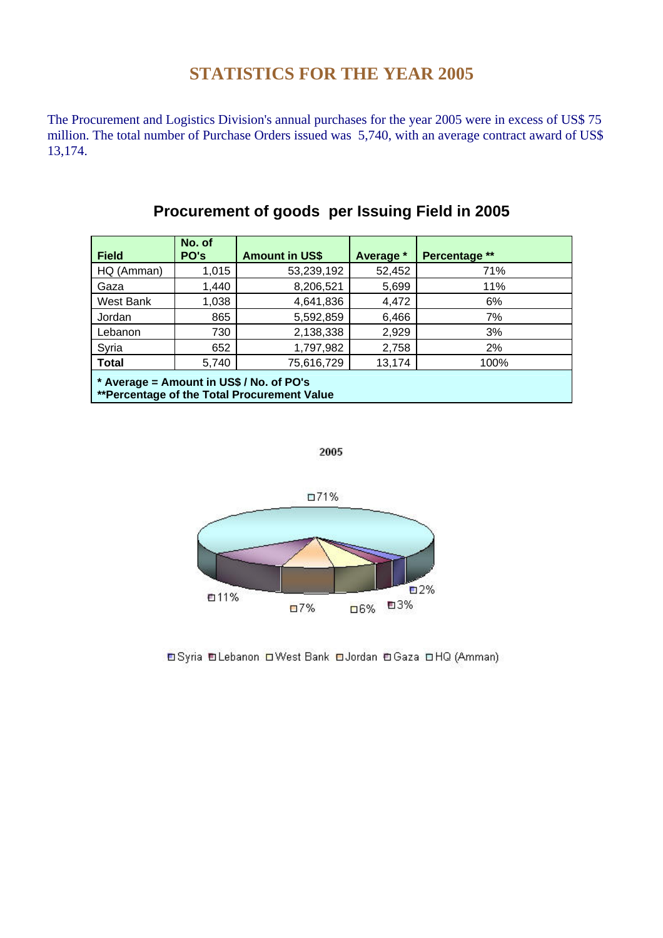## **STATISTICS FOR THE YEAR 2005**

The Procurement and Logistics Division's annual purchases for the year 2005 were in excess of US\$ 75 million. The total number of Purchase Orders issued was 5,740, with an average contract award of US\$ 13,174.

| <b>Field</b>                                                                            | No. of<br>PO's | <b>Amount in US\$</b> | Average * | Percentage ** |  |
|-----------------------------------------------------------------------------------------|----------------|-----------------------|-----------|---------------|--|
| HQ (Amman)                                                                              | 1,015          | 53,239,192            | 52,452    | 71%           |  |
| Gaza                                                                                    | 1,440          | 8,206,521             | 5,699     | 11%           |  |
| West Bank                                                                               | 1,038          | 4,641,836             | 4,472     | 6%            |  |
| Jordan                                                                                  | 865            | 5,592,859             | 6,466     | 7%            |  |
| Lebanon                                                                                 | 730            | 2,138,338             | 2,929     | 3%            |  |
| Syria                                                                                   | 652            | 1,797,982             | 2,758     | 2%            |  |
| <b>Total</b>                                                                            | 5,740          | 75,616,729            | 13,174    | 100%          |  |
| * Average = Amount in US\$ / No. of PO's<br>**Percentage of the Total Procurement Value |                |                       |           |               |  |

## **Procurement of goods per Issuing Field in 2005**





**OSyria OLebanon OWest Bank OJordan OGaza OHQ (Amman)**